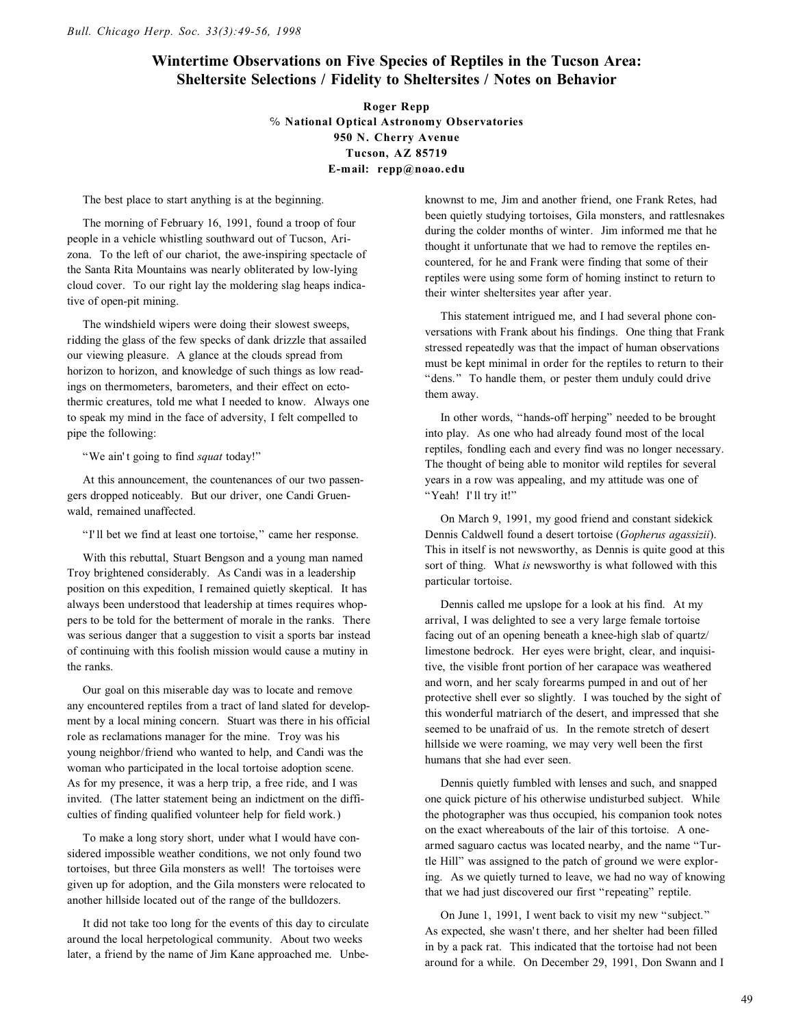## **Wintertime Observations on Five Species of Reptiles in the Tucson Area: Sheltersite Selections / Fidelity to Sheltersites / Notes on Behavior**

**Roger Repp**  $%$  National Optical Astronomy Observatories **950 N. Cherry Avenue Tucson, AZ 85719 E-mail: repp@noao. edu**

The best place to start anything is at the beginning.

The morning of February 16, 1991, found a troop of four people in a vehicle whistling southward out of Tucson, Arizona. To the left of our chariot, the awe-inspiring spectacle of the Santa Rita Mountains was nearly obliterated by low-lying cloud cover. To our right lay the moldering slag heaps indicative of open-pit mining.

The windshield wipers were doing their slowest sweeps, ridding the glass of the few specks of dank drizzle that assailed our viewing pleasure. A glance at the clouds spread from horizon to horizon, and knowledge of such things as low readings on thermometers, barometers, and their effect on ectothermic creatures, told me what I needed to know. Always one to speak my mind in the face of adversity, I felt compelled to pipe the following:

"We ain't going to find *squat* today!"

At this announcement, the countenances of our two passengers dropped noticeably. But our driver, one Candi Gruenwald, remained unaffected.

"I' ll bet we find at least one tortoise," came her response.

With this rebuttal, Stuart Bengson and a young man named Troy brightened considerably. As Candi was in a leadership position on this expedition, I remained quietly skeptical. It has always been understood that leadership at times requires whoppers to be told for the betterment of morale in the ranks. There was serious danger that a suggestion to visit a sports bar instead of continuing with this foolish mission would cause a mutiny in the ranks.

Our goal on this miserable day was to locate and remove any encountered reptiles from a tract of land slated for development by a local mining concern. Stuart was there in his official role as reclamations manager for the mine. Troy was his young neighbor/friend who wanted to help, and Candi was the woman who participated in the local tortoise adoption scene. As for my presence, it was a herp trip, a free ride, and I was invited. (The latter statement being an indictment on the difficulties of finding qualified volunteer help for field work.)

To make a long story short, under what I would have considered impossible weather conditions, we not only found two tortoises, but three Gila monsters as well! The tortoises were given up for adoption, and the Gila monsters were relocated to another hillside located out of the range of the bulldozers.

It did not take too long for the events of this day to circulate around the local herpetological community. About two weeks later, a friend by the name of Jim Kane approached me. Unbeknownst to me, Jim and another friend, one Frank Retes, had been quietly studying tortoises, Gila monsters, and rattlesnakes during the colder months of winter. Jim informed me that he thought it unfortunate that we had to remove the reptiles encountered, for he and Frank were finding that some of their reptiles were using some form of homing instinct to return to their winter sheltersites year after year.

This statement intrigued me, and I had several phone conversations with Frank about his findings. One thing that Frank stressed repeatedly was that the impact of human observations must be kept minimal in order for the reptiles to return to their "dens." To handle them, or pester them unduly could drive them away.

In other words, "hands-off herping" needed to be brought into play. As one who had already found most of the local reptiles, fondling each and every find was no longer necessary. The thought of being able to monitor wild reptiles for several years in a row was appealing, and my attitude was one of "Yeah! I'll try it!"

On March 9, 1991, my good friend and constant sidekick Dennis Caldwell found a desert tortoise (*Gopherus agassizii*). This in itself is not newsworthy, as Dennis is quite good at this sort of thing. What *is* newsworthy is what followed with this particular tortoise.

Dennis called me upslope for a look at his find. At my arrival, I was delighted to see a very large female tortoise facing out of an opening beneath a knee-high slab of quartz/ limestone bedrock. Her eyes were bright, clear, and inquisitive, the visible front portion of her carapace was weathered and worn, and her scaly forearms pumped in and out of her protective shell ever so slightly. I was touched by the sight of this wonderful matriarch of the desert, and impressed that she seemed to be unafraid of us. In the remote stretch of desert hillside we were roaming, we may very well been the first humans that she had ever seen.

Dennis quietly fumbled with lenses and such, and snapped one quick picture of his otherwise undisturbed subject. While the photographer was thus occupied, his companion took notes on the exact whereabouts of the lair of this tortoise. A onearmed saguaro cactus was located nearby, and the name "Turtle Hill" was assigned to the patch of ground we were exploring. As we quietly turned to leave, we had no way of knowing that we had just discovered our first "repeating" reptile.

On June 1, 1991, I went back to visit my new "subject." As expected, she wasn't there, and her shelter had been filled in by a pack rat. This indicated that the tortoise had not been around for a while. On December 29, 1991, Don Swann and I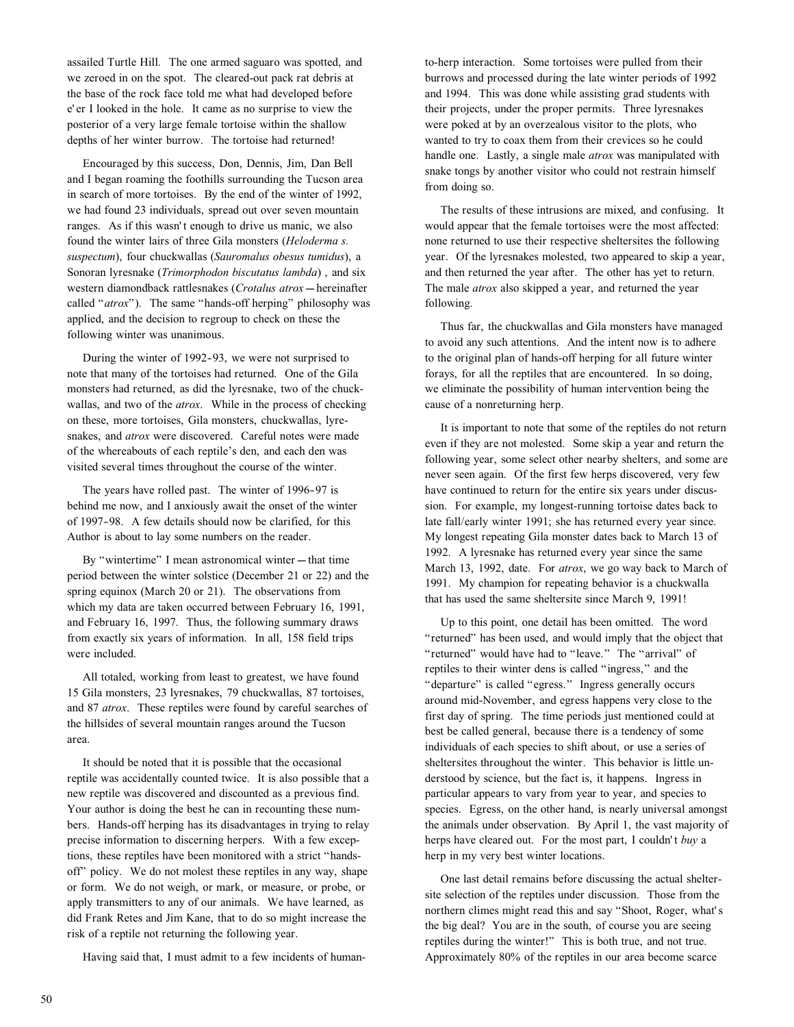assailed Turtle Hill. The one armed saguaro was spotted, and we zeroed in on the spot. The cleared-out pack rat debris at the base of the rock face told me what had developed before e' er I looked in the hole. It came as no surprise to view the posterior of a very large female tortoise within the shallow depths of her winter burrow. The tortoise had returned!

Encouraged by this success, Don, Dennis, Jim, Dan Bell and I began roaming the foothills surrounding the Tucson area in search of more tortoises. By the end of the winter of 1992, we had found 23 individuals, spread out over seven mountain ranges. As if this wasn't enough to drive us manic, we also found the winter lairs of three Gila monsters (*Heloderma s. suspectum*), four chuckwallas (*Sauromalus obesus tumidus*), a Sonoran lyresnake (*Trimorphodon biscutatus lambda*) , and six western diamondback rattlesnakes (*Crotalus atrox* -- hereinafter called "*atrox*"). The same "hands-off herping" philosophy was applied, and the decision to regroup to check on these the following winter was unanimous.

During the winter of 1992-93, we were not surprised to note that many of the tortoises had returned. One of the Gila monsters had returned, as did the lyresnake, two of the chuckwallas, and two of the *atrox*. While in the process of checking on these, more tortoises, Gila monsters, chuckwallas, lyresnakes, and *atrox* were discovered. Careful notes were made of the whereabouts of each reptile's den, and each den was visited several times throughout the course of the winter.

The years have rolled past. The winter of 1996-97 is behind me now, and I anxiously await the onset of the winter of 1997-98. A few details should now be clarified, for this Author is about to lay some numbers on the reader.

By "wintertime" I mean astronomical winter --- that time period between the winter solstice (December 21 or 22) and the spring equinox (March 20 or 21). The observations from which my data are taken occurred between February 16, 1991, and February 16, 1997. Thus, the following summary draws from exactly six years of information. In all, 158 field trips were included.

All totaled, working from least to greatest, we have found 15 Gila monsters, 23 lyresnakes, 79 chuckwallas, 87 tortoises, and 87 *atrox*. These reptiles were found by careful searches of the hillsides of several mountain ranges around the Tucson area.

It should be noted that it is possible that the occasional reptile was accidentally counted twice. It is also possible that a new reptile was discovered and discounted as a previous find. Your author is doing the best he can in recounting these numbers. Hands-off herping has its disadvantages in trying to relay precise information to discerning herpers. With a few exceptions, these reptiles have been monitored with a strict "handsoff" policy. We do not molest these reptiles in any way, shape or form. We do not weigh, or mark, or measure, or probe, or apply transmitters to any of our animals. We have learned, as did Frank Retes and Jim Kane, that to do so might increase the risk of a reptile not returning the following year.

Having said that, I must admit to a few incidents of human-

to-herp interaction. Some tortoises were pulled from their burrows and processed during the late winter periods of 1992 and 1994. This was done while assisting grad students with their projects, under the proper permits. Three lyresnakes were poked at by an overzealous visitor to the plots, who wanted to try to coax them from their crevices so he could handle one. Lastly, a single male *atrox* was manipulated with snake tongs by another visitor who could not restrain himself from doing so.

The results of these intrusions are mixed, and confusing. It would appear that the female tortoises were the most affected: none returned to use their respective sheltersites the following year. Of the lyresnakes molested, two appeared to skip a year, and then returned the year after. The other has yet to return. The male *atrox* also skipped a year, and returned the year following.

Thus far, the chuckwallas and Gila monsters have managed to avoid any such attentions. And the intent now is to adhere to the original plan of hands-off herping for all future winter forays, for all the reptiles that are encountered. In so doing, we eliminate the possibility of human intervention being the cause of a nonreturning herp.

It is important to note that some of the reptiles do not return even if they are not molested. Some skip a year and return the following year, some select other nearby shelters, and some are never seen again. Of the first few herps discovered, very few have continued to return for the entire six years under discussion. For example, my longest-running tortoise dates back to late fall/early winter 1991; she has returned every year since. My longest repeating Gila monster dates back to March 13 of 1992. A lyresnake has returned every year since the same March 13, 1992, date. For *atrox*, we go way back to March of 1991. My champion for repeating behavior is a chuckwalla that has used the same sheltersite since March 9, 1991!

Up to this point, one detail has been omitted. The word "returned" has been used, and would imply that the object that "returned" would have had to "leave." The "arrival" of reptiles to their winter dens is called "ingress," and the "departure" is called "egress." Ingress generally occurs around mid-November, and egress happens very close to the first day of spring. The time periods just mentioned could at best be called general, because there is a tendency of some individuals of each species to shift about, or use a series of sheltersites throughout the winter. This behavior is little understood by science, but the fact is, it happens. Ingress in particular appears to vary from year to year, and species to species. Egress, on the other hand, is nearly universal amongst the animals under observation. By April 1, the vast majority of herps have cleared out. For the most part, I couldn't *buy* a herp in my very best winter locations.

One last detail remains before discussing the actual sheltersite selection of the reptiles under discussion. Those from the northern climes might read this and say "Shoot, Roger, what's the big deal? You are in the south, of course you are seeing reptiles during the winter!" This is both true, and not true. Approximately 80% of the reptiles in our area become scarce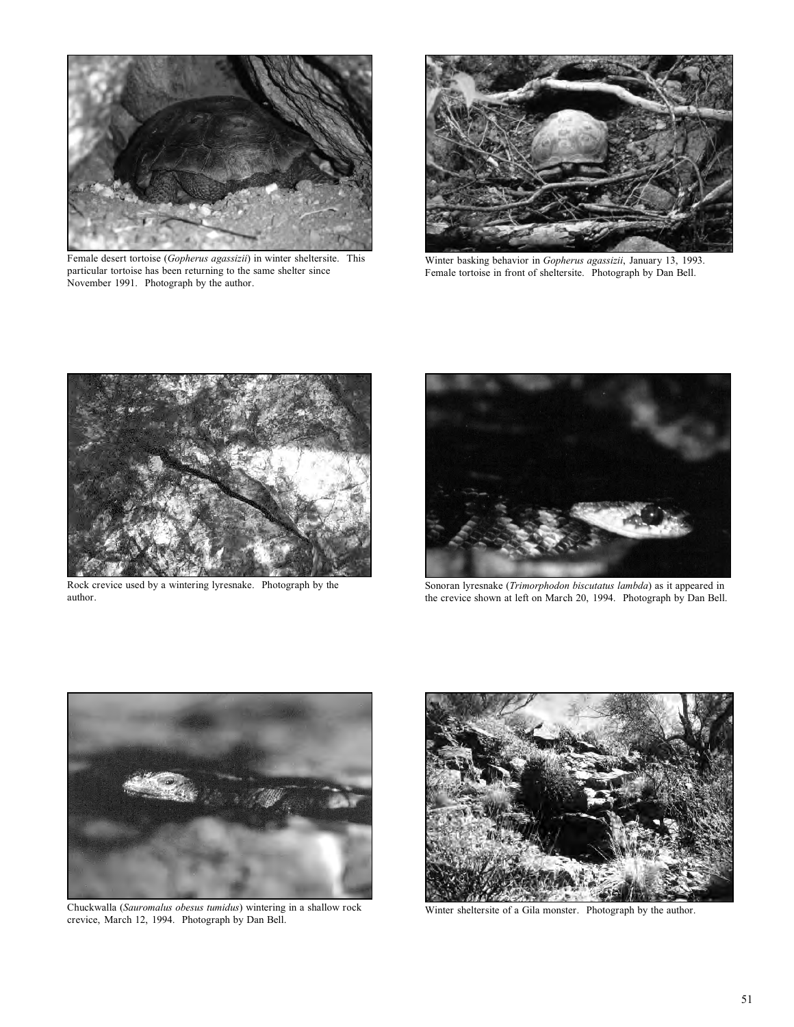

Female desert tortoise (*Gopherus agassizii*) in winter sheltersite. This particular tortoise has been returning to the same shelter since November 1991. Photograph by the author.



Winter basking behavior in *Gopherus agassizii*, January 13, 1993. Female tortoise in front of sheltersite. Photograph by Dan Bell.



Rock crevice used by a wintering lyresnake. Photograph by the author.



Sonoran lyresnake (*Trimorphodon biscutatus lambda*) as it appeared in the crevice shown at left on March 20, 1994. Photograph by Dan Bell.



Chuckwalla (*Sauromalus obesus tumidus*) wintering in a shallow rock crevice, March 12, 1994. Photograph by Dan Bell.



Winter sheltersite of a Gila monster. Photograph by the author.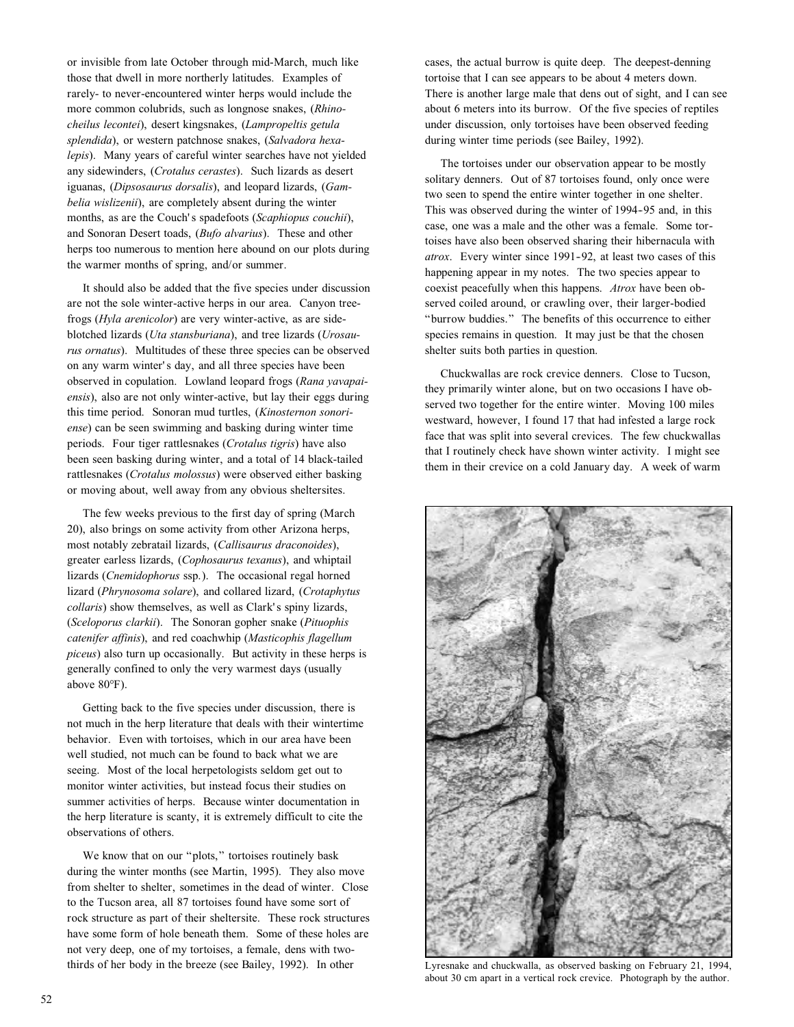or invisible from late October through mid-March, much like those that dwell in more northerly latitudes. Examples of rarely- to never-encountered winter herps would include the more common colubrids, such as longnose snakes, (*Rhinocheilus lecontei*), desert kingsnakes, (*Lampropeltis getula splendida*), or western patchnose snakes, (*Salvadora hexalepis*). Many years of careful winter searches have not yielded any sidewinders, (*Crotalus cerastes*). Such lizards as desert iguanas, (*Dipsosaurus dorsalis*), and leopard lizards, (*Gambelia wislizenii*), are completely absent during the winter months, as are the Couch's spadefoots (*Scaphiopus couchii*), and Sonoran Desert toads, (*Bufo alvarius*). These and other herps too numerous to mention here abound on our plots during the warmer months of spring, and/or summer.

It should also be added that the five species under discussion are not the sole winter-active herps in our area. Canyon treefrogs (*Hyla arenicolor*) are very winter-active, as are sideblotched lizards (*Uta stansburiana*), and tree lizards (*Urosaurus ornatus*). Multitudes of these three species can be observed on any warm winter's day, and all three species have been observed in copulation. Lowland leopard frogs (*Rana yavapaiensis*), also are not only winter-active, but lay their eggs during this time period. Sonoran mud turtles, (*Kinosternon sonoriense*) can be seen swimming and basking during winter time periods. Four tiger rattlesnakes (*Crotalus tigris*) have also been seen basking during winter, and a total of 14 black-tailed rattlesnakes (*Crotalus molossus*) were observed either basking or moving about, well away from any obvious sheltersites.

The few weeks previous to the first day of spring (March 20), also brings on some activity from other Arizona herps, most notably zebratail lizards, (*Callisaurus draconoides*), greater earless lizards, (*Cophosaurus texanus*), and whiptail lizards (*Cnemidophorus* ssp.). The occasional regal horned lizard (*Phrynosoma solare*), and collared lizard, (*Crotaphytus collaris*) show themselves, as well as Clark's spiny lizards, (*Sceloporus clarkii*). The Sonoran gopher snake (*Pituophis catenifer affinis*), and red coachwhip (*Masticophis flagellum piceus*) also turn up occasionally. But activity in these herps is generally confined to only the very warmest days (usually above 80°F).

Getting back to the five species under discussion, there is not much in the herp literature that deals with their wintertime behavior. Even with tortoises, which in our area have been well studied, not much can be found to back what we are seeing. Most of the local herpetologists seldom get out to monitor winter activities, but instead focus their studies on summer activities of herps. Because winter documentation in the herp literature is scanty, it is extremely difficult to cite the observations of others.

We know that on our "plots," tortoises routinely bask during the winter months (see Martin, 1995). They also move from shelter to shelter, sometimes in the dead of winter. Close to the Tucson area, all 87 tortoises found have some sort of rock structure as part of their sheltersite. These rock structures have some form of hole beneath them. Some of these holes are not very deep, one of my tortoises, a female, dens with twothirds of her body in the breeze (see Bailey, 1992). In other

cases, the actual burrow is quite deep. The deepest-denning tortoise that I can see appears to be about 4 meters down. There is another large male that dens out of sight, and I can see about 6 meters into its burrow. Of the five species of reptiles under discussion, only tortoises have been observed feeding during winter time periods (see Bailey, 1992).

The tortoises under our observation appear to be mostly solitary denners. Out of 87 tortoises found, only once were two seen to spend the entire winter together in one shelter. This was observed during the winter of 1994-95 and, in this case, one was a male and the other was a female. Some tortoises have also been observed sharing their hibernacula with *atrox*. Every winter since 1991-92, at least two cases of this happening appear in my notes. The two species appear to coexist peacefully when this happens. *Atrox* have been observed coiled around, or crawling over, their larger-bodied "burrow buddies." The benefits of this occurrence to either species remains in question. It may just be that the chosen shelter suits both parties in question.

Chuckwallas are rock crevice denners. Close to Tucson, they primarily winter alone, but on two occasions I have observed two together for the entire winter. Moving 100 miles westward, however, I found 17 that had infested a large rock face that was split into several crevices. The few chuckwallas that I routinely check have shown winter activity. I might see them in their crevice on a cold January day. A week of warm



Lyresnake and chuckwalla, as observed basking on February 21, 1994, about 30 cm apart in a vertical rock crevice. Photograph by the author.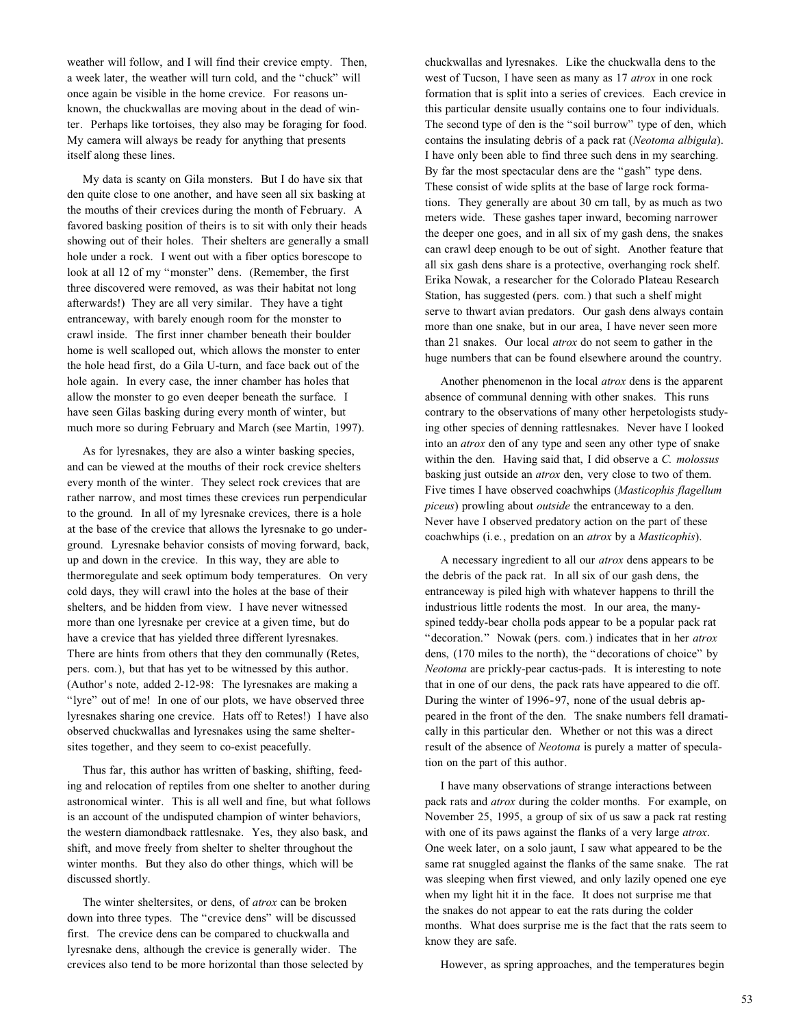weather will follow, and I will find their crevice empty. Then, a week later, the weather will turn cold, and the "chuck" will once again be visible in the home crevice. For reasons unknown, the chuckwallas are moving about in the dead of winter. Perhaps like tortoises, they also may be foraging for food. My camera will always be ready for anything that presents itself along these lines.

My data is scanty on Gila monsters. But I do have six that den quite close to one another, and have seen all six basking at the mouths of their crevices during the month of February. A favored basking position of theirs is to sit with only their heads showing out of their holes. Their shelters are generally a small hole under a rock. I went out with a fiber optics borescope to look at all 12 of my "monster" dens. (Remember, the first three discovered were removed, as was their habitat not long afterwards!) They are all very similar. They have a tight entranceway, with barely enough room for the monster to crawl inside. The first inner chamber beneath their boulder home is well scalloped out, which allows the monster to enter the hole head first, do a Gila U-turn, and face back out of the hole again. In every case, the inner chamber has holes that allow the monster to go even deeper beneath the surface. I have seen Gilas basking during every month of winter, but much more so during February and March (see Martin, 1997).

As for lyresnakes, they are also a winter basking species, and can be viewed at the mouths of their rock crevice shelters every month of the winter. They select rock crevices that are rather narrow, and most times these crevices run perpendicular to the ground. In all of my lyresnake crevices, there is a hole at the base of the crevice that allows the lyresnake to go underground. Lyresnake behavior consists of moving forward, back, up and down in the crevice. In this way, they are able to thermoregulate and seek optimum body temperatures. On very cold days, they will crawl into the holes at the base of their shelters, and be hidden from view. I have never witnessed more than one lyresnake per crevice at a given time, but do have a crevice that has yielded three different lyresnakes. There are hints from others that they den communally (Retes, pers. com.), but that has yet to be witnessed by this author. (Author's note, added 2-12-98: The lyresnakes are making a "lyre" out of me! In one of our plots, we have observed three lyresnakes sharing one crevice. Hats off to Retes!) I have also observed chuckwallas and lyresnakes using the same sheltersites together, and they seem to co-exist peacefully.

Thus far, this author has written of basking, shifting, feeding and relocation of reptiles from one shelter to another during astronomical winter. This is all well and fine, but what follows is an account of the undisputed champion of winter behaviors, the western diamondback rattlesnake. Yes, they also bask, and shift, and move freely from shelter to shelter throughout the winter months. But they also do other things, which will be discussed shortly.

The winter sheltersites, or dens, of *atrox* can be broken down into three types. The "crevice dens" will be discussed first. The crevice dens can be compared to chuckwalla and lyresnake dens, although the crevice is generally wider. The crevices also tend to be more horizontal than those selected by chuckwallas and lyresnakes. Like the chuckwalla dens to the west of Tucson, I have seen as many as 17 *atrox* in one rock formation that is split into a series of crevices. Each crevice in this particular densite usually contains one to four individuals. The second type of den is the "soil burrow" type of den, which contains the insulating debris of a pack rat (*Neotoma albigula*). I have only been able to find three such dens in my searching. By far the most spectacular dens are the "gash" type dens. These consist of wide splits at the base of large rock formations. They generally are about 30 cm tall, by as much as two meters wide. These gashes taper inward, becoming narrower the deeper one goes, and in all six of my gash dens, the snakes can crawl deep enough to be out of sight. Another feature that all six gash dens share is a protective, overhanging rock shelf. Erika Nowak, a researcher for the Colorado Plateau Research Station, has suggested (pers. com.) that such a shelf might serve to thwart avian predators. Our gash dens always contain more than one snake, but in our area, I have never seen more than 21 snakes. Our local *atrox* do not seem to gather in the huge numbers that can be found elsewhere around the country.

Another phenomenon in the local *atrox* dens is the apparent absence of communal denning with other snakes. This runs contrary to the observations of many other herpetologists studying other species of denning rattlesnakes. Never have I looked into an *atrox* den of any type and seen any other type of snake within the den. Having said that, I did observe a *C. molossus* basking just outside an *atrox* den, very close to two of them. Five times I have observed coachwhips (*Masticophis flagellum piceus*) prowling about *outside* the entranceway to a den. Never have I observed predatory action on the part of these coachwhips (i.e., predation on an *atrox* by a *Masticophis*).

A necessary ingredient to all our *atrox* dens appears to be the debris of the pack rat. In all six of our gash dens, the entranceway is piled high with whatever happens to thrill the industrious little rodents the most. In our area, the manyspined teddy-bear cholla pods appear to be a popular pack rat "decoration." Nowak (pers. com.) indicates that in her *atrox* dens, (170 miles to the north), the "decorations of choice" by *Neotoma* are prickly-pear cactus-pads. It is interesting to note that in one of our dens, the pack rats have appeared to die off. During the winter of 1996-97, none of the usual debris appeared in the front of the den. The snake numbers fell dramatically in this particular den. Whether or not this was a direct result of the absence of *Neotoma* is purely a matter of speculation on the part of this author.

I have many observations of strange interactions between pack rats and *atrox* during the colder months. For example, on November 25, 1995, a group of six of us saw a pack rat resting with one of its paws against the flanks of a very large *atrox*. One week later, on a solo jaunt, I saw what appeared to be the same rat snuggled against the flanks of the same snake. The rat was sleeping when first viewed, and only lazily opened one eye when my light hit it in the face. It does not surprise me that the snakes do not appear to eat the rats during the colder months. What does surprise me is the fact that the rats seem to know they are safe.

However, as spring approaches, and the temperatures begin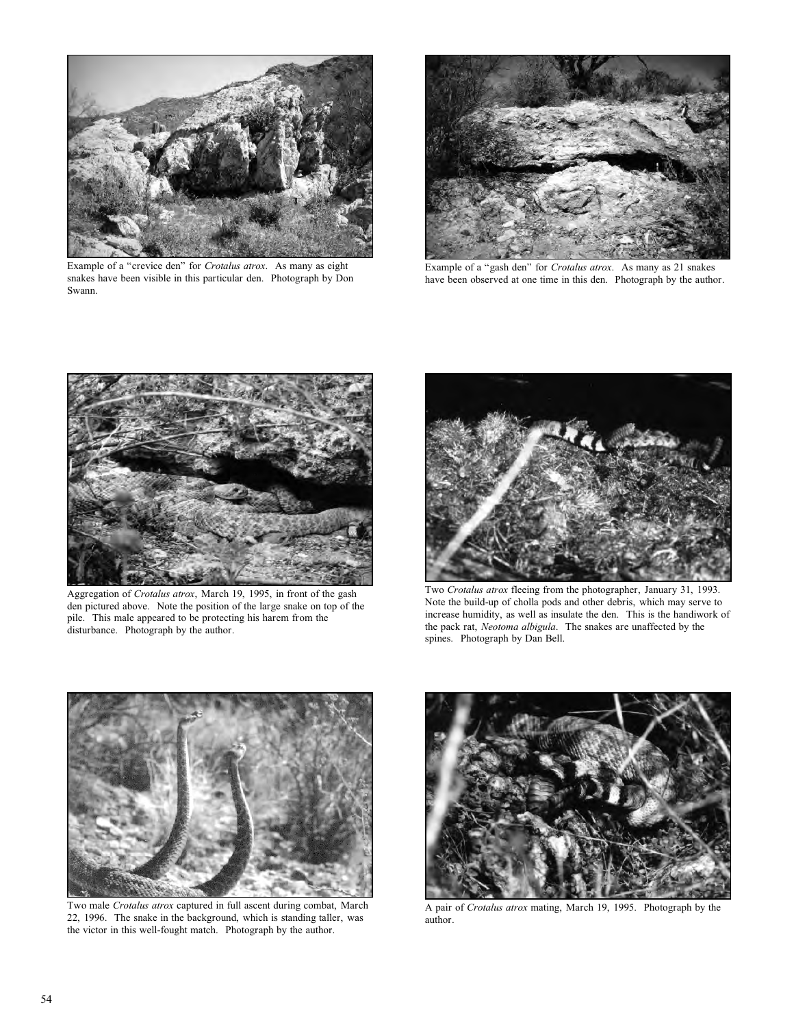

Example of a "crevice den" for *Crotalus atrox*. As many as eight snakes have been visible in this particular den. Photograph by Don Swann.



Example of a "gash den" for *Crotalus atrox*. As many as 21 snakes have been observed at one time in this den. Photograph by the author.



Aggregation of *Crotalus atrox*, March 19, 1995, in front of the gash den pictured above. Note the position of the large snake on top of the pile. This male appeared to be protecting his harem from the disturbance. Photograph by the author.



Two *Crotalus atrox* fleeing from the photographer, January 31, 1993. Note the build-up of cholla pods and other debris, which may serve to increase humidity, as well as insulate the den. This is the handiwork of the pack rat, *Neotoma albigula*. The snakes are unaffected by the spines. Photograph by Dan Bell.



Two male *Crotalus atrox* captured in full ascent during combat, March 22, 1996. The snake in the background, which is standing taller, was the victor in this well-fought match. Photograph by the author.



A pair of *Crotalus atrox* mating, March 19, 1995. Photograph by the author.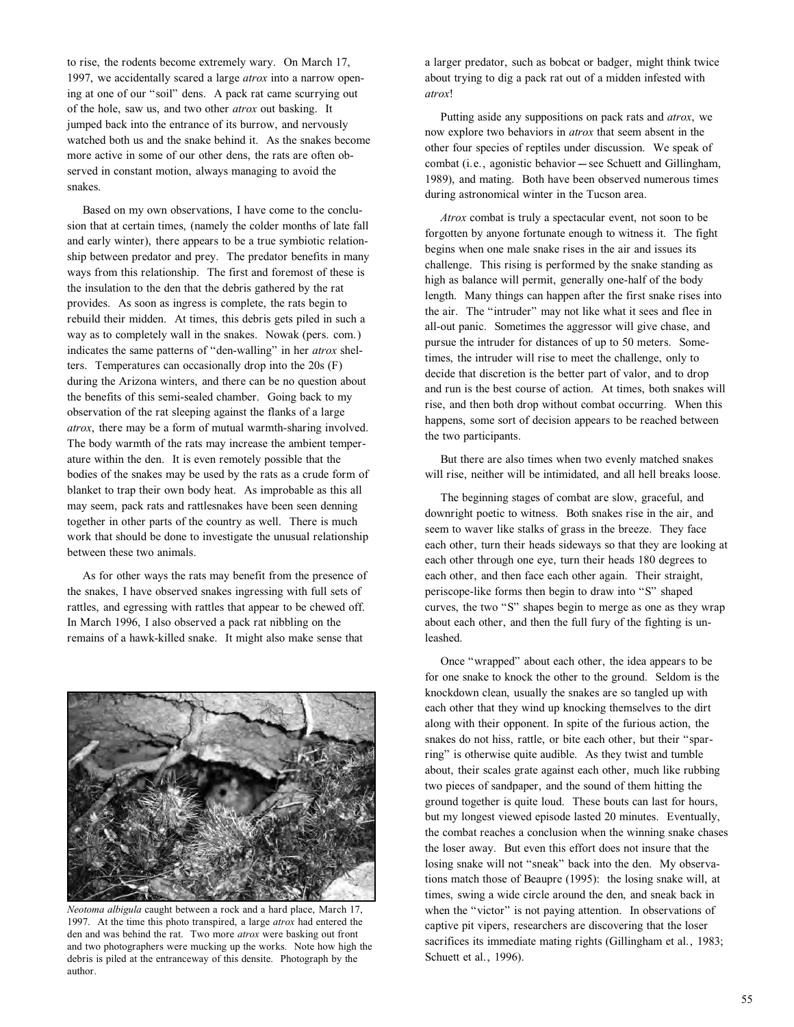to rise, the rodents become extremely wary. On March 17, 1997, we accidentally scared a large *atrox* into a narrow opening at one of our "soil" dens. A pack rat came scurrying out of the hole, saw us, and two other *atrox* out basking. It jumped back into the entrance of its burrow, and nervously watched both us and the snake behind it. As the snakes become more active in some of our other dens, the rats are often observed in constant motion, always managing to avoid the snakes.

Based on my own observations, I have come to the conclusion that at certain times, (namely the colder months of late fall and early winter), there appears to be a true symbiotic relationship between predator and prey. The predator benefits in many ways from this relationship. The first and foremost of these is the insulation to the den that the debris gathered by the rat provides. As soon as ingress is complete, the rats begin to rebuild their midden. At times, this debris gets piled in such a way as to completely wall in the snakes. Nowak (pers. com.) indicates the same patterns of "den-walling" in her *atrox* shelters. Temperatures can occasionally drop into the 20s (F) during the Arizona winters, and there can be no question about the benefits of this semi-sealed chamber. Going back to my observation of the rat sleeping against the flanks of a large *atrox*, there may be a form of mutual warmth-sharing involved. The body warmth of the rats may increase the ambient temperature within the den. It is even remotely possible that the bodies of the snakes may be used by the rats as a crude form of blanket to trap their own body heat. As improbable as this all may seem, pack rats and rattlesnakes have been seen denning together in other parts of the country as well. There is much work that should be done to investigate the unusual relationship between these two animals.

As for other ways the rats may benefit from the presence of the snakes, I have observed snakes ingressing with full sets of rattles, and egressing with rattles that appear to be chewed off. In March 1996, I also observed a pack rat nibbling on the remains of a hawk-killed snake. It might also make sense that



*Neotoma albigula* caught between a rock and a hard place, March 17, 1997. At the time this photo transpired, a large *atrox* had entered the den and was behind the rat. Two more *atrox* were basking out front and two photographers were mucking up the works. Note how high the debris is piled at the entranceway of this densite. Photograph by the author.

a larger predator, such as bobcat or badger, might think twice about trying to dig a pack rat out of a midden infested with *atrox*!

Putting aside any suppositions on pack rats and *atrox*, we now explore two behaviors in *atrox* that seem absent in the other four species of reptiles under discussion. We speak of combat (i.e., agonistic behavior -- see Schuett and Gillingham, 1989), and mating. Both have been observed numerous times during astronomical winter in the Tucson area.

*Atrox* combat is truly a spectacular event, not soon to be forgotten by anyone fortunate enough to witness it. The fight begins when one male snake rises in the air and issues its challenge. This rising is performed by the snake standing as high as balance will permit, generally one-half of the body length. Many things can happen after the first snake rises into the air. The "intruder" may not like what it sees and flee in all-out panic. Sometimes the aggressor will give chase, and pursue the intruder for distances of up to 50 meters. Sometimes, the intruder will rise to meet the challenge, only to decide that discretion is the better part of valor, and to drop and run is the best course of action. At times, both snakes will rise, and then both drop without combat occurring. When this happens, some sort of decision appears to be reached between the two participants.

But there are also times when two evenly matched snakes will rise, neither will be intimidated, and all hell breaks loose.

The beginning stages of combat are slow, graceful, and downright poetic to witness. Both snakes rise in the air, and seem to waver like stalks of grass in the breeze. They face each other, turn their heads sideways so that they are looking at each other through one eye, turn their heads 180 degrees to each other, and then face each other again. Their straight, periscope-like forms then begin to draw into "S" shaped curves, the two "S" shapes begin to merge as one as they wrap about each other, and then the full fury of the fighting is unleashed.

Once "wrapped" about each other, the idea appears to be for one snake to knock the other to the ground. Seldom is the knockdown clean, usually the snakes are so tangled up with each other that they wind up knocking themselves to the dirt along with their opponent. In spite of the furious action, the snakes do not hiss, rattle, or bite each other, but their "sparring" is otherwise quite audible. As they twist and tumble about, their scales grate against each other, much like rubbing two pieces of sandpaper, and the sound of them hitting the ground together is quite loud. These bouts can last for hours, but my longest viewed episode lasted 20 minutes. Eventually, the combat reaches a conclusion when the winning snake chases the loser away. But even this effort does not insure that the losing snake will not "sneak" back into the den. My observations match those of Beaupre (1995): the losing snake will, at times, swing a wide circle around the den, and sneak back in when the "victor" is not paying attention. In observations of captive pit vipers, researchers are discovering that the loser sacrifices its immediate mating rights (Gillingham et al., 1983; Schuett et al., 1996).